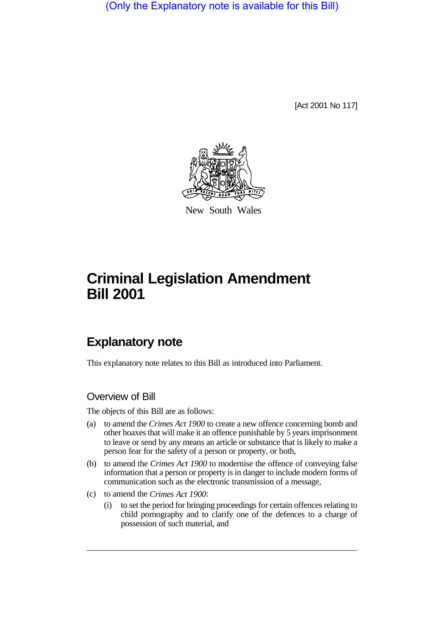(Only the Explanatory note is available for this Bill)

[Act 2001 No 117]



New South Wales

# **Criminal Legislation Amendment Bill 2001**

# **Explanatory note**

This explanatory note relates to this Bill as introduced into Parliament.

# Overview of Bill

The objects of this Bill are as follows:

- (a) to amend the *Crimes Act 1900* to create a new offence concerning bomb and other hoaxes that will make it an offence punishable by 5 years imprisonment to leave or send by any means an article or substance that is likely to make a person fear for the safety of a person or property, or both,
- (b) to amend the *Crimes Act 1900* to modernise the offence of conveying false information that a person or property is in danger to include modern forms of communication such as the electronic transmission of a message,
- (c) to amend the *Crimes Act 1900*:
	- (i) to set the period for bringing proceedings for certain offences relating to child pornography and to clarify one of the defences to a charge of possession of such material, and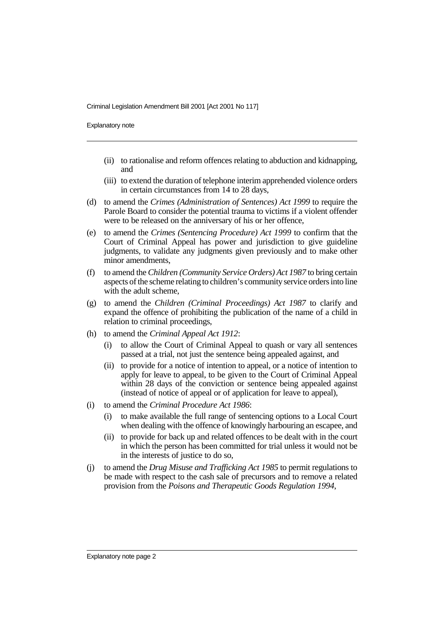Explanatory note

- (ii) to rationalise and reform offences relating to abduction and kidnapping, and
- (iii) to extend the duration of telephone interim apprehended violence orders in certain circumstances from 14 to 28 days,
- (d) to amend the *Crimes (Administration of Sentences) Act 1999* to require the Parole Board to consider the potential trauma to victims if a violent offender were to be released on the anniversary of his or her offence,
- (e) to amend the *Crimes (Sentencing Procedure) Act 1999* to confirm that the Court of Criminal Appeal has power and jurisdiction to give guideline judgments, to validate any judgments given previously and to make other minor amendments,
- (f) to amend the *Children (Community Service Orders) Act 1987* to bring certain aspects of the scheme relating to children's community service orders into line with the adult scheme,
- (g) to amend the *Children (Criminal Proceedings) Act 1987* to clarify and expand the offence of prohibiting the publication of the name of a child in relation to criminal proceedings,
- (h) to amend the *Criminal Appeal Act 1912*:
	- (i) to allow the Court of Criminal Appeal to quash or vary all sentences passed at a trial, not just the sentence being appealed against, and
	- (ii) to provide for a notice of intention to appeal, or a notice of intention to apply for leave to appeal, to be given to the Court of Criminal Appeal within 28 days of the conviction or sentence being appealed against (instead of notice of appeal or of application for leave to appeal),
- (i) to amend the *Criminal Procedure Act 1986*:
	- (i) to make available the full range of sentencing options to a Local Court when dealing with the offence of knowingly harbouring an escapee, and
	- (ii) to provide for back up and related offences to be dealt with in the court in which the person has been committed for trial unless it would not be in the interests of justice to do so,
- (j) to amend the *Drug Misuse and Trafficking Act 1985* to permit regulations to be made with respect to the cash sale of precursors and to remove a related provision from the *Poisons and Therapeutic Goods Regulation 1994*,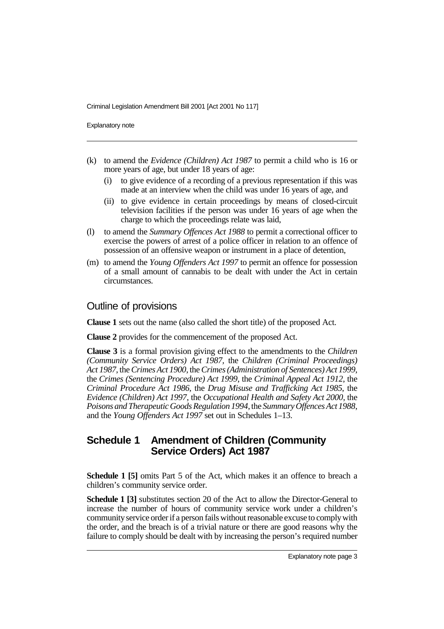Explanatory note

- (k) to amend the *Evidence (Children) Act 1987* to permit a child who is 16 or more years of age, but under 18 years of age:
	- (i) to give evidence of a recording of a previous representation if this was made at an interview when the child was under 16 years of age, and
	- (ii) to give evidence in certain proceedings by means of closed-circuit television facilities if the person was under 16 years of age when the charge to which the proceedings relate was laid,
- (l) to amend the *Summary Offences Act 1988* to permit a correctional officer to exercise the powers of arrest of a police officer in relation to an offence of possession of an offensive weapon or instrument in a place of detention,
- (m) to amend the *Young Offenders Act 1997* to permit an offence for possession of a small amount of cannabis to be dealt with under the Act in certain circumstances.

#### Outline of provisions

**Clause 1** sets out the name (also called the short title) of the proposed Act.

**Clause 2** provides for the commencement of the proposed Act.

**Clause 3** is a formal provision giving effect to the amendments to the *Children (Community Service Orders) Act 1987,* the *Children (Criminal Proceedings) Act 1987*, the *Crimes Act 1900*, the *Crimes (Administration of Sentences) Act 1999*, the *Crimes (Sentencing Procedure) Act 1999*, the *Criminal Appeal Act 1912*, the *Criminal Procedure Act 1986*, the *Drug Misuse and Trafficking Act 1985*, the *Evidence (Children) Act 1997*, the *Occupational Health and Safety Act 2000*, the *Poisons and Therapeutic Goods Regulation 1994*, the *Summary Offences Act 1988*, and the *Young Offenders Act 1997* set out in Schedules 1–13.

# **Schedule 1 Amendment of Children (Community Service Orders) Act 1987**

**Schedule 1 [5]** omits Part 5 of the Act, which makes it an offence to breach a children's community service order.

**Schedule 1 [3]** substitutes section 20 of the Act to allow the Director-General to increase the number of hours of community service work under a children's community service order if a person fails without reasonable excuse to comply with the order, and the breach is of a trivial nature or there are good reasons why the failure to comply should be dealt with by increasing the person's required number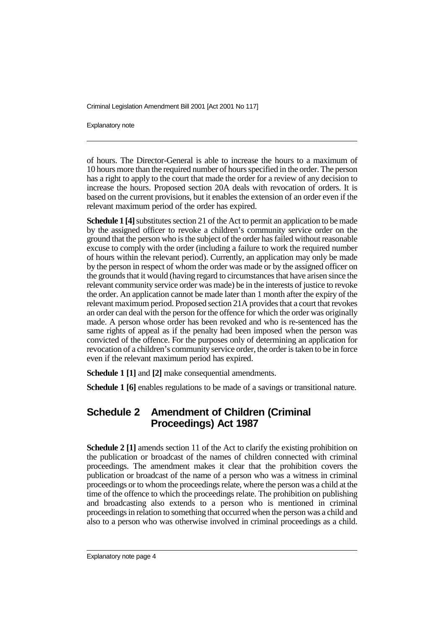Explanatory note

of hours. The Director-General is able to increase the hours to a maximum of 10 hours more than the required number of hours specified in the order. The person has a right to apply to the court that made the order for a review of any decision to increase the hours. Proposed section 20A deals with revocation of orders. It is based on the current provisions, but it enables the extension of an order even if the relevant maximum period of the order has expired.

**Schedule 1 [4]** substitutes section 21 of the Act to permit an application to be made by the assigned officer to revoke a children's community service order on the ground that the person who is the subject of the order has failed without reasonable excuse to comply with the order (including a failure to work the required number of hours within the relevant period). Currently, an application may only be made by the person in respect of whom the order was made or by the assigned officer on the grounds that it would (having regard to circumstances that have arisen since the relevant community service order was made) be in the interests of justice to revoke the order. An application cannot be made later than 1 month after the expiry of the relevant maximum period. Proposed section 21A provides that a court that revokes an order can deal with the person for the offence for which the order was originally made. A person whose order has been revoked and who is re-sentenced has the same rights of appeal as if the penalty had been imposed when the person was convicted of the offence. For the purposes only of determining an application for revocation of a children's community service order, the order is taken to be in force even if the relevant maximum period has expired.

**Schedule 1 [1]** and **[2]** make consequential amendments.

**Schedule 1 [6]** enables regulations to be made of a savings or transitional nature.

# **Schedule 2 Amendment of Children (Criminal Proceedings) Act 1987**

**Schedule 2 [1]** amends section 11 of the Act to clarify the existing prohibition on the publication or broadcast of the names of children connected with criminal proceedings. The amendment makes it clear that the prohibition covers the publication or broadcast of the name of a person who was a witness in criminal proceedings or to whom the proceedings relate, where the person was a child at the time of the offence to which the proceedings relate. The prohibition on publishing and broadcasting also extends to a person who is mentioned in criminal proceedings in relation to something that occurred when the person was a child and also to a person who was otherwise involved in criminal proceedings as a child.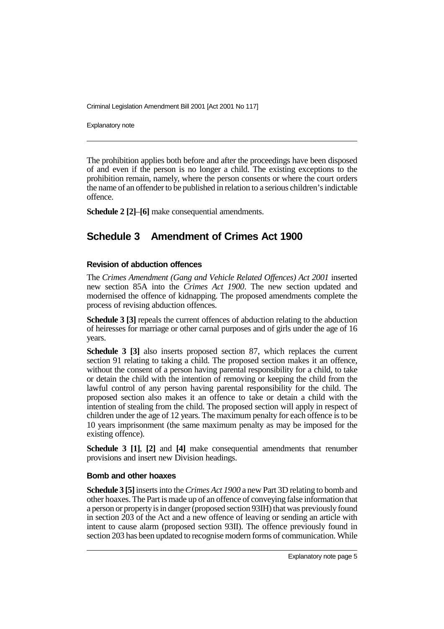Explanatory note

The prohibition applies both before and after the proceedings have been disposed of and even if the person is no longer a child. The existing exceptions to the prohibition remain, namely, where the person consents or where the court orders the name of an offender to be published in relation to a serious children's indictable offence.

**Schedule 2 [2]**–**[6]** make consequential amendments.

# **Schedule 3 Amendment of Crimes Act 1900**

#### **Revision of abduction offences**

The *Crimes Amendment (Gang and Vehicle Related Offences) Act 2001* inserted new section 85A into the *Crimes Act 1900*. The new section updated and modernised the offence of kidnapping. The proposed amendments complete the process of revising abduction offences.

**Schedule 3 [3]** repeals the current offences of abduction relating to the abduction of heiresses for marriage or other carnal purposes and of girls under the age of 16 years.

**Schedule 3 [3]** also inserts proposed section 87, which replaces the current section 91 relating to taking a child. The proposed section makes it an offence, without the consent of a person having parental responsibility for a child, to take or detain the child with the intention of removing or keeping the child from the lawful control of any person having parental responsibility for the child. The proposed section also makes it an offence to take or detain a child with the intention of stealing from the child. The proposed section will apply in respect of children under the age of 12 years. The maximum penalty for each offence is to be 10 years imprisonment (the same maximum penalty as may be imposed for the existing offence).

**Schedule 3 [1]**, **[2]** and **[4]** make consequential amendments that renumber provisions and insert new Division headings.

#### **Bomb and other hoaxes**

**Schedule 3 [5]** inserts into the *Crimes Act 1900* a new Part 3D relating to bomb and other hoaxes. The Part is made up of an offence of conveying false information that a person or property is in danger (proposed section 93IH) that was previously found in section 203 of the Act and a new offence of leaving or sending an article with intent to cause alarm (proposed section 93II). The offence previously found in section 203 has been updated to recognise modern forms of communication. While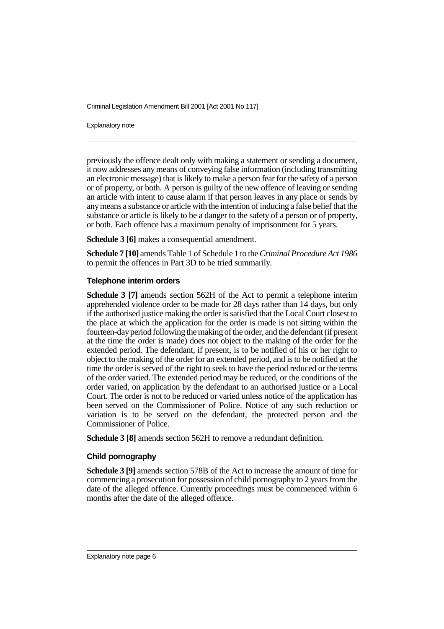Explanatory note

previously the offence dealt only with making a statement or sending a document, it now addresses any means of conveying false information (including transmitting an electronic message) that is likely to make a person fear for the safety of a person or of property, or both. A person is guilty of the new offence of leaving or sending an article with intent to cause alarm if that person leaves in any place or sends by any means a substance or article with the intention of inducing a false belief that the substance or article is likely to be a danger to the safety of a person or of property, or both. Each offence has a maximum penalty of imprisonment for 5 years.

**Schedule 3 [6]** makes a consequential amendment.

**Schedule 7 [10]** amends Table 1 of Schedule 1 to the *Criminal Procedure Act 1986* to permit the offences in Part 3D to be tried summarily.

#### **Telephone interim orders**

**Schedule 3 [7]** amends section 562H of the Act to permit a telephone interim apprehended violence order to be made for 28 days rather than 14 days, but only if the authorised justice making the order is satisfied that the Local Court closest to the place at which the application for the order is made is not sitting within the fourteen-day period following the making of the order, and the defendant (if present at the time the order is made) does not object to the making of the order for the extended period. The defendant, if present, is to be notified of his or her right to object to the making of the order for an extended period, and is to be notified at the time the order is served of the right to seek to have the period reduced or the terms of the order varied. The extended period may be reduced, or the conditions of the order varied, on application by the defendant to an authorised justice or a Local Court. The order is not to be reduced or varied unless notice of the application has been served on the Commissioner of Police. Notice of any such reduction or variation is to be served on the defendant, the protected person and the Commissioner of Police.

**Schedule 3 [8]** amends section 562H to remove a redundant definition.

#### **Child pornography**

**Schedule 3 [9]** amends section 578B of the Act to increase the amount of time for commencing a prosecution for possession of child pornography to 2 years from the date of the alleged offence. Currently proceedings must be commenced within 6 months after the date of the alleged offence.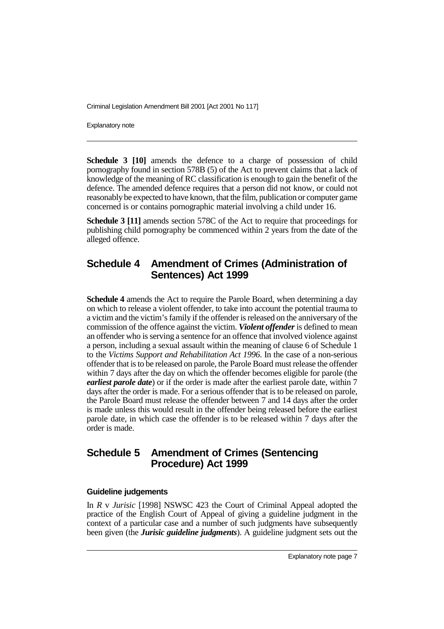Explanatory note

**Schedule 3 [10]** amends the defence to a charge of possession of child pornography found in section 578B (5) of the Act to prevent claims that a lack of knowledge of the meaning of RC classification is enough to gain the benefit of the defence. The amended defence requires that a person did not know, or could not reasonably be expected to have known, that the film, publication or computer game concerned is or contains pornographic material involving a child under 16.

**Schedule 3 [11]** amends section 578C of the Act to require that proceedings for publishing child pornography be commenced within 2 years from the date of the alleged offence.

# **Schedule 4 Amendment of Crimes (Administration of Sentences) Act 1999**

**Schedule 4** amends the Act to require the Parole Board, when determining a day on which to release a violent offender, to take into account the potential trauma to a victim and the victim's family if the offender is released on the anniversary of the commission of the offence against the victim. *Violent offender* is defined to mean an offender who is serving a sentence for an offence that involved violence against a person, including a sexual assault within the meaning of clause 6 of Schedule 1 to the *Victims Support and Rehabilitation Act 1996*. In the case of a non-serious offender that is to be released on parole, the Parole Board must release the offender within 7 days after the day on which the offender becomes eligible for parole (the *earliest parole date*) or if the order is made after the earliest parole date, within 7 days after the order is made. For a serious offender that is to be released on parole, the Parole Board must release the offender between 7 and 14 days after the order is made unless this would result in the offender being released before the earliest parole date, in which case the offender is to be released within 7 days after the order is made.

# **Schedule 5 Amendment of Crimes (Sentencing Procedure) Act 1999**

#### **Guideline judgements**

In *R* v *Jurisic* [1998] NSWSC 423 the Court of Criminal Appeal adopted the practice of the English Court of Appeal of giving a guideline judgment in the context of a particular case and a number of such judgments have subsequently been given (the *Jurisic guideline judgments*). A guideline judgment sets out the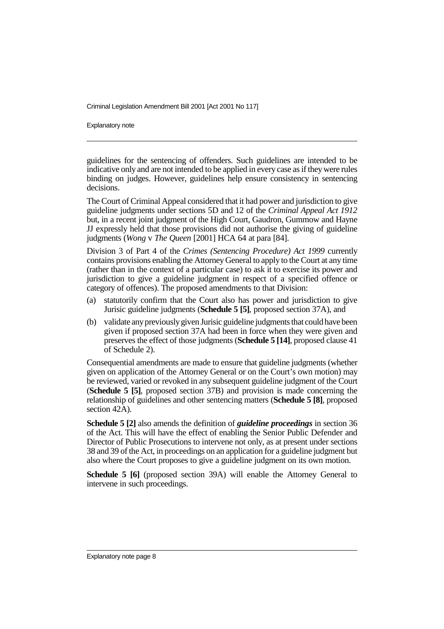Explanatory note

guidelines for the sentencing of offenders. Such guidelines are intended to be indicative only and are not intended to be applied in every case as if they were rules binding on judges. However, guidelines help ensure consistency in sentencing decisions.

The Court of Criminal Appeal considered that it had power and jurisdiction to give guideline judgments under sections 5D and 12 of the *Criminal Appeal Act 1912* but, in a recent joint judgment of the High Court, Gaudron, Gummow and Hayne JJ expressly held that those provisions did not authorise the giving of guideline judgments (*Wong* v *The Queen* [2001] HCA 64 at para [84].

Division 3 of Part 4 of the *Crimes (Sentencing Procedure) Act 1999* currently contains provisions enabling the Attorney General to apply to the Court at any time (rather than in the context of a particular case) to ask it to exercise its power and jurisdiction to give a guideline judgment in respect of a specified offence or category of offences). The proposed amendments to that Division:

- (a) statutorily confirm that the Court also has power and jurisdiction to give Jurisic guideline judgments (**Schedule 5 [5]**, proposed section 37A), and
- (b) validate any previously given Jurisic guideline judgments that could have been given if proposed section 37A had been in force when they were given and preserves the effect of those judgments (**Schedule 5 [14]**, proposed clause 41 of Schedule 2).

Consequential amendments are made to ensure that guideline judgments (whether given on application of the Attorney General or on the Court's own motion) may be reviewed, varied or revoked in any subsequent guideline judgment of the Court (**Schedule 5 [5]**, proposed section 37B) and provision is made concerning the relationship of guidelines and other sentencing matters (**Schedule 5 [8]**, proposed section 42A).

**Schedule 5 [2]** also amends the definition of *guideline proceedings* in section 36 of the Act. This will have the effect of enabling the Senior Public Defender and Director of Public Prosecutions to intervene not only, as at present under sections 38 and 39 of the Act, in proceedings on an application for a guideline judgment but also where the Court proposes to give a guideline judgment on its own motion.

**Schedule 5 [6]** (proposed section 39A) will enable the Attorney General to intervene in such proceedings.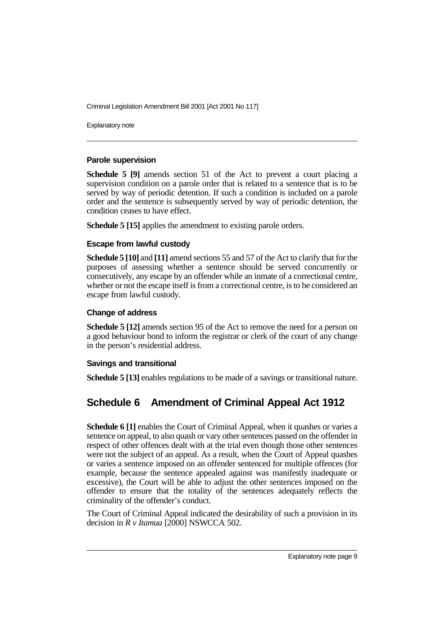Explanatory note

#### **Parole supervision**

**Schedule 5 [9]** amends section 51 of the Act to prevent a court placing a supervision condition on a parole order that is related to a sentence that is to be served by way of periodic detention. If such a condition is included on a parole order and the sentence is subsequently served by way of periodic detention, the condition ceases to have effect.

**Schedule 5 [15]** applies the amendment to existing parole orders.

#### **Escape from lawful custody**

**Schedule 5 [10]** and **[11]** amend sections 55 and 57 of the Act to clarify that for the purposes of assessing whether a sentence should be served concurrently or consecutively, any escape by an offender while an inmate of a correctional centre, whether or not the escape itself is from a correctional centre, is to be considered an escape from lawful custody.

#### **Change of address**

**Schedule 5 [12]** amends section 95 of the Act to remove the need for a person on a good behaviour bond to inform the registrar or clerk of the court of any change in the person's residential address.

#### **Savings and transitional**

**Schedule 5 [13] enables regulations to be made of a savings or transitional nature.** 

# **Schedule 6 Amendment of Criminal Appeal Act 1912**

**Schedule 6 [1]** enables the Court of Criminal Appeal, when it quashes or varies a sentence on appeal, to also quash or vary other sentences passed on the offender in respect of other offences dealt with at the trial even though those other sentences were not the subject of an appeal. As a result, when the Court of Appeal quashes or varies a sentence imposed on an offender sentenced for multiple offences (for example, because the sentence appealed against was manifestly inadequate or excessive), the Court will be able to adjust the other sentences imposed on the offender to ensure that the totality of the sentences adequately reflects the criminality of the offender's conduct.

The Court of Criminal Appeal indicated the desirability of such a provision in its decision in *R v Itamua* [2000] NSWCCA 502.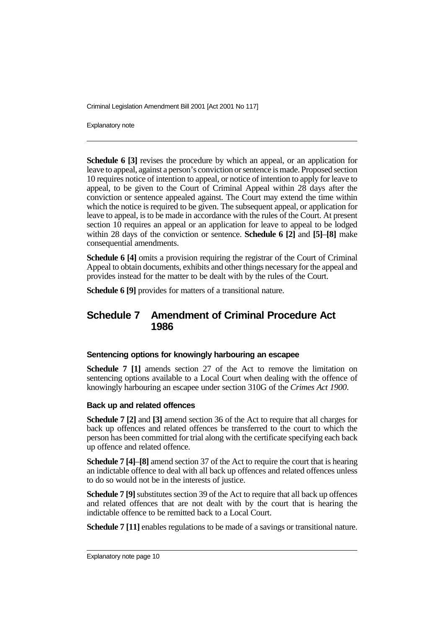Explanatory note

**Schedule 6 [3]** revises the procedure by which an appeal, or an application for leave to appeal, against a person's conviction or sentence is made. Proposed section 10 requires notice of intention to appeal, or notice of intention to apply for leave to appeal, to be given to the Court of Criminal Appeal within 28 days after the conviction or sentence appealed against. The Court may extend the time within which the notice is required to be given. The subsequent appeal, or application for leave to appeal, is to be made in accordance with the rules of the Court. At present section 10 requires an appeal or an application for leave to appeal to be lodged within 28 days of the conviction or sentence. **Schedule 6 [2]** and **[5]**–**[8]** make consequential amendments.

**Schedule 6 [4]** omits a provision requiring the registrar of the Court of Criminal Appeal to obtain documents, exhibits and other things necessary for the appeal and provides instead for the matter to be dealt with by the rules of the Court.

**Schedule 6 [9]** provides for matters of a transitional nature.

### **Schedule 7 Amendment of Criminal Procedure Act 1986**

#### **Sentencing options for knowingly harbouring an escapee**

**Schedule 7 [1]** amends section 27 of the Act to remove the limitation on sentencing options available to a Local Court when dealing with the offence of knowingly harbouring an escapee under section 310G of the *Crimes Act 1900*.

#### **Back up and related offences**

**Schedule 7 [2]** and **[3]** amend section 36 of the Act to require that all charges for back up offences and related offences be transferred to the court to which the person has been committed for trial along with the certificate specifying each back up offence and related offence.

**Schedule 7 [4]**–**[8]** amend section 37 of the Act to require the court that is hearing an indictable offence to deal with all back up offences and related offences unless to do so would not be in the interests of justice.

**Schedule 7 [9]** substitutes section 39 of the Act to require that all back up offences and related offences that are not dealt with by the court that is hearing the indictable offence to be remitted back to a Local Court.

**Schedule 7 [11]** enables regulations to be made of a savings or transitional nature.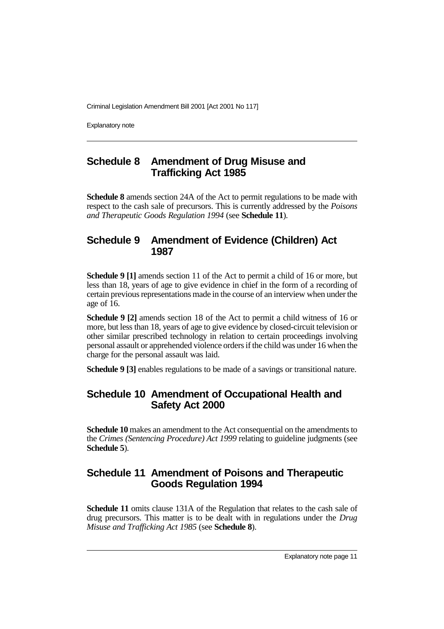Explanatory note

# **Schedule 8 Amendment of Drug Misuse and Trafficking Act 1985**

**Schedule 8** amends section 24A of the Act to permit regulations to be made with respect to the cash sale of precursors. This is currently addressed by the *Poisons and Therapeutic Goods Regulation 1994* (see **Schedule 11**).

### **Schedule 9 Amendment of Evidence (Children) Act 1987**

**Schedule 9 [1]** amends section 11 of the Act to permit a child of 16 or more, but less than 18, years of age to give evidence in chief in the form of a recording of certain previous representations made in the course of an interview when under the age of 16.

**Schedule 9 [2]** amends section 18 of the Act to permit a child witness of 16 or more, but less than 18, years of age to give evidence by closed-circuit television or other similar prescribed technology in relation to certain proceedings involving personal assault or apprehended violence orders if the child was under 16 when the charge for the personal assault was laid.

**Schedule 9 [3]** enables regulations to be made of a savings or transitional nature.

# **Schedule 10 Amendment of Occupational Health and Safety Act 2000**

**Schedule 10** makes an amendment to the Act consequential on the amendments to the *Crimes (Sentencing Procedure) Act 1999* relating to guideline judgments (see **Schedule 5**).

# **Schedule 11 Amendment of Poisons and Therapeutic Goods Regulation 1994**

**Schedule 11** omits clause 131A of the Regulation that relates to the cash sale of drug precursors. This matter is to be dealt with in regulations under the *Drug Misuse and Trafficking Act 1985* (see **Schedule 8**).